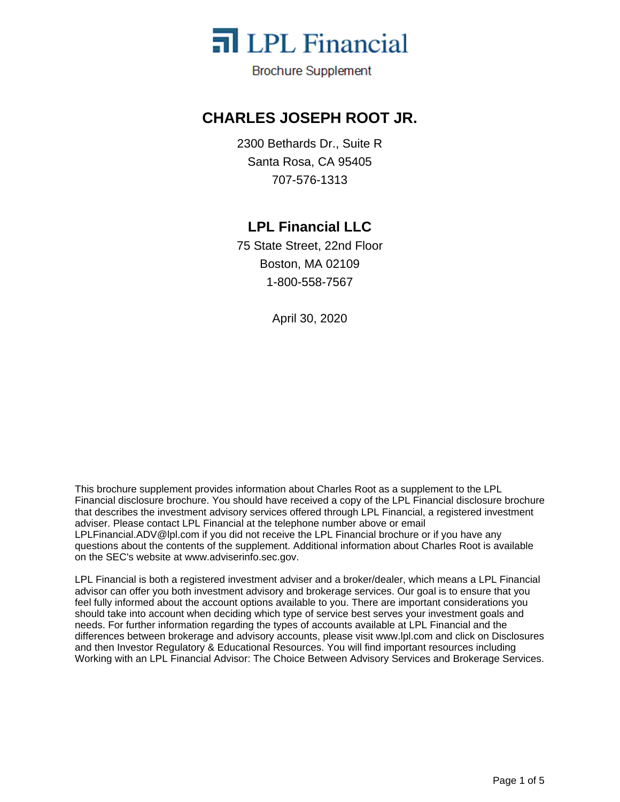

**Brochure Supplement** 

## **CHARLES JOSEPH ROOT JR.**

2300 Bethards Dr., Suite R Santa Rosa, CA 95405 707-576-1313

## **LPL Financial LLC**

75 State Street, 22nd Floor Boston, MA 02109 1-800-558-7567

April 30, 2020

This brochure supplement provides information about Charles Root as a supplement to the LPL Financial disclosure brochure. You should have received a copy of the LPL Financial disclosure brochure that describes the investment advisory services offered through LPL Financial, a registered investment adviser. Please contact LPL Financial at the telephone number above or email LPLFinancial.ADV@lpl.com if you did not receive the LPL Financial brochure or if you have any questions about the contents of the supplement. Additional information about Charles Root is available on the SEC's website at www.adviserinfo.sec.gov.

LPL Financial is both a registered investment adviser and a broker/dealer, which means a LPL Financial advisor can offer you both investment advisory and brokerage services. Our goal is to ensure that you feel fully informed about the account options available to you. There are important considerations you should take into account when deciding which type of service best serves your investment goals and needs. For further information regarding the types of accounts available at LPL Financial and the differences between brokerage and advisory accounts, please visit www.lpl.com and click on Disclosures and then Investor Regulatory & Educational Resources. You will find important resources including Working with an LPL Financial Advisor: The Choice Between Advisory Services and Brokerage Services.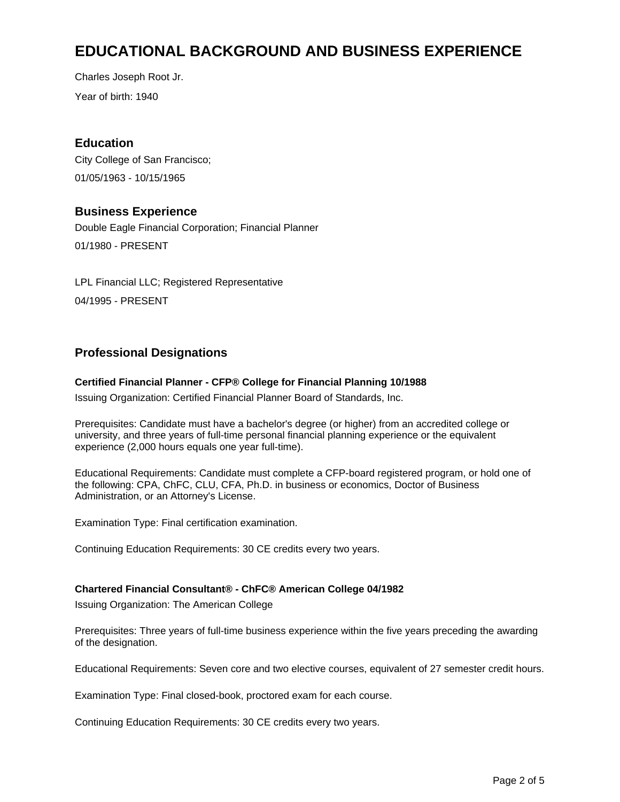# **EDUCATIONAL BACKGROUND AND BUSINESS EXPERIENCE**

Year of birth: 1940 Charles Joseph Root Jr.

### **Education**

City College of San Francisco; 01/05/1963 - 10/15/1965

### **Business Experience**

Double Eagle Financial Corporation; Financial Planner 01/1980 - PRESENT

LPL Financial LLC; Registered Representative 04/1995 - PRESENT

## **Professional Designations**

#### **Certified Financial Planner - CFP® College for Financial Planning 10/1988**

Issuing Organization: Certified Financial Planner Board of Standards, Inc.

Prerequisites: Candidate must have a bachelor's degree (or higher) from an accredited college or university, and three years of full-time personal financial planning experience or the equivalent experience (2,000 hours equals one year full-time).

Educational Requirements: Candidate must complete a CFP-board registered program, or hold one of the following: CPA, ChFC, CLU, CFA, Ph.D. in business or economics, Doctor of Business Administration, or an Attorney's License.

Examination Type: Final certification examination.

Continuing Education Requirements: 30 CE credits every two years.

#### **Chartered Financial Consultant® - ChFC® American College 04/1982**

Issuing Organization: The American College

Prerequisites: Three years of full-time business experience within the five years preceding the awarding of the designation.

Educational Requirements: Seven core and two elective courses, equivalent of 27 semester credit hours.

Examination Type: Final closed-book, proctored exam for each course.

Continuing Education Requirements: 30 CE credits every two years.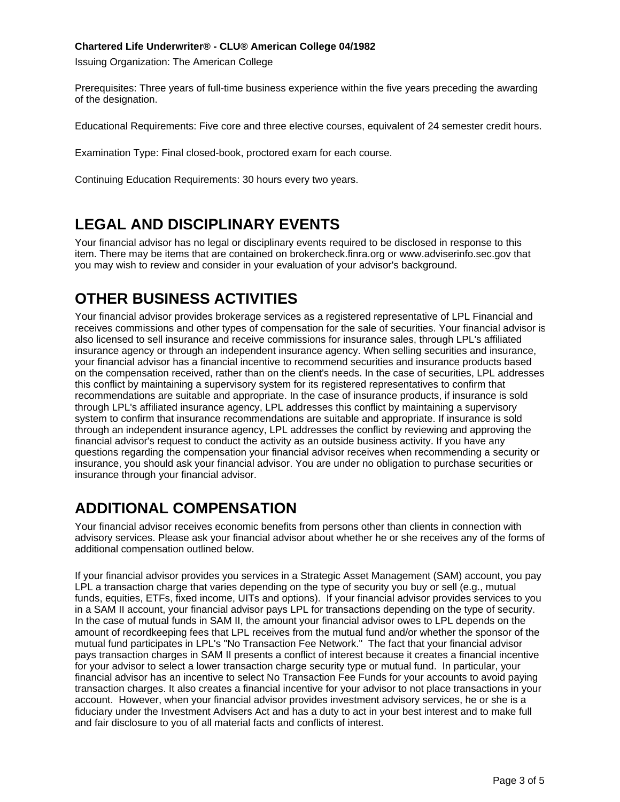#### **Chartered Life Underwriter® - CLU® American College 04/1982**

Issuing Organization: The American College

Prerequisites: Three years of full-time business experience within the five years preceding the awarding of the designation.

Educational Requirements: Five core and three elective courses, equivalent of 24 semester credit hours.

Examination Type: Final closed-book, proctored exam for each course.

Continuing Education Requirements: 30 hours every two years.

# **LEGAL AND DISCIPLINARY EVENTS**

Your financial advisor has no legal or disciplinary events required to be disclosed in response to this item. There may be items that are contained on brokercheck.finra.org or www.adviserinfo.sec.gov that you may wish to review and consider in your evaluation of your advisor's background.

# **OTHER BUSINESS ACTIVITIES**

Your financial advisor provides brokerage services as a registered representative of LPL Financial and receives commissions and other types of compensation for the sale of securities. Your financial advisor is also licensed to sell insurance and receive commissions for insurance sales, through LPL's affiliated insurance agency or through an independent insurance agency. When selling securities and insurance, your financial advisor has a financial incentive to recommend securities and insurance products based on the compensation received, rather than on the client's needs. In the case of securities, LPL addresses this conflict by maintaining a supervisory system for its registered representatives to confirm that recommendations are suitable and appropriate. In the case of insurance products, if insurance is sold through LPL's affiliated insurance agency, LPL addresses this conflict by maintaining a supervisory system to confirm that insurance recommendations are suitable and appropriate. If insurance is sold through an independent insurance agency, LPL addresses the conflict by reviewing and approving the financial advisor's request to conduct the activity as an outside business activity. If you have any questions regarding the compensation your financial advisor receives when recommending a security or insurance, you should ask your financial advisor. You are under no obligation to purchase securities or insurance through your financial advisor.

# **ADDITIONAL COMPENSATION**

Your financial advisor receives economic benefits from persons other than clients in connection with advisory services. Please ask your financial advisor about whether he or she receives any of the forms of additional compensation outlined below.

If your financial advisor provides you services in a Strategic Asset Management (SAM) account, you pay LPL a transaction charge that varies depending on the type of security you buy or sell (e.g., mutual funds, equities, ETFs, fixed income, UITs and options). If your financial advisor provides services to you in a SAM II account, your financial advisor pays LPL for transactions depending on the type of security. In the case of mutual funds in SAM II, the amount your financial advisor owes to LPL depends on the amount of recordkeeping fees that LPL receives from the mutual fund and/or whether the sponsor of the mutual fund participates in LPL's "No Transaction Fee Network." The fact that your financial advisor pays transaction charges in SAM II presents a conflict of interest because it creates a financial incentive for your advisor to select a lower transaction charge security type or mutual fund. In particular, your financial advisor has an incentive to select No Transaction Fee Funds for your accounts to avoid paying transaction charges. It also creates a financial incentive for your advisor to not place transactions in your account. However, when your financial advisor provides investment advisory services, he or she is a fiduciary under the Investment Advisers Act and has a duty to act in your best interest and to make full and fair disclosure to you of all material facts and conflicts of interest.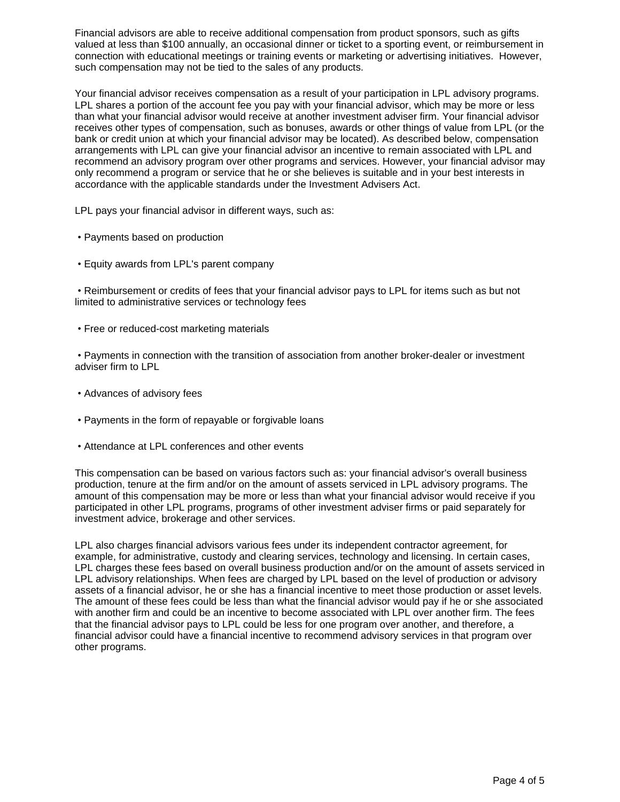Financial advisors are able to receive additional compensation from product sponsors, such as gifts valued at less than \$100 annually, an occasional dinner or ticket to a sporting event, or reimbursement in connection with educational meetings or training events or marketing or advertising initiatives. However, such compensation may not be tied to the sales of any products.

Your financial advisor receives compensation as a result of your participation in LPL advisory programs. LPL shares a portion of the account fee you pay with your financial advisor, which may be more or less than what your financial advisor would receive at another investment adviser firm. Your financial advisor receives other types of compensation, such as bonuses, awards or other things of value from LPL (or the bank or credit union at which your financial advisor may be located). As described below, compensation arrangements with LPL can give your financial advisor an incentive to remain associated with LPL and recommend an advisory program over other programs and services. However, your financial advisor may only recommend a program or service that he or she believes is suitable and in your best interests in accordance with the applicable standards under the Investment Advisers Act.

LPL pays your financial advisor in different ways, such as:

- Payments based on production
- Equity awards from LPL's parent company

Reimbursement or credits of fees that your financial advisor pays to LPL for items such as but not limited to administrative services or technology fees

Free or reduced-cost marketing materials

Payments in connection with the transition of association from another broker-dealer or investment adviser firm to LPL

- Advances of advisory fees
- Payments in the form of repayable or forgivable loans
- Attendance at LPL conferences and other events

This compensation can be based on various factors such as: your financial advisor's overall business production, tenure at the firm and/or on the amount of assets serviced in LPL advisory programs. The amount of this compensation may be more or less than what your financial advisor would receive if you participated in other LPL programs, programs of other investment adviser firms or paid separately for investment advice, brokerage and other services.

LPL also charges financial advisors various fees under its independent contractor agreement, for example, for administrative, custody and clearing services, technology and licensing. In certain cases, LPL charges these fees based on overall business production and/or on the amount of assets serviced in LPL advisory relationships. When fees are charged by LPL based on the level of production or advisory assets of a financial advisor, he or she has a financial incentive to meet those production or asset levels. The amount of these fees could be less than what the financial advisor would pay if he or she associated with another firm and could be an incentive to become associated with LPL over another firm. The fees that the financial advisor pays to LPL could be less for one program over another, and therefore, a financial advisor could have a financial incentive to recommend advisory services in that program over other programs.